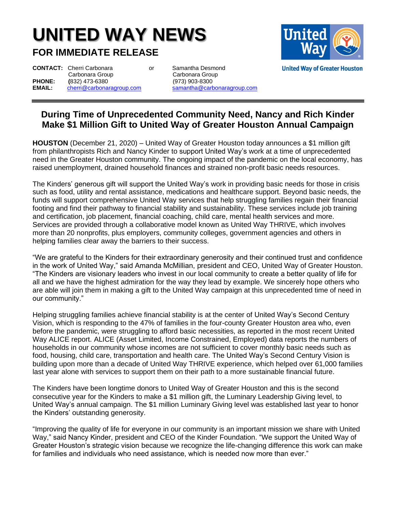## **UNITED WAY NEWS**

**FOR IMMEDIATE RELEASE**

**CONTACT:** Cherri Carbonara **contract or** Samantha Desmond Carbonara Group Carbonara Group<br> **PHONE:** (832) 473-6380 (973) 903-8300 **PHONE:** (832) 473-6380 (973) 903-8300<br> **EMAIL:** cherri@carbonaragroup.com samantha@carb

**EMAIL:** [cherri@carbonaragroup.com](mailto:cherri@carbonaragroup.com) [samantha@carbonaragroup.com](mailto:samantha@carbonaragroup.com)



## **During Time of Unprecedented Community Need, Nancy and Rich Kinder Make \$1 Million Gift to United Way of Greater Houston Annual Campaign**

**HOUSTON** (December 21, 2020) – United Way of Greater Houston today announces a \$1 million gift from philanthropists Rich and Nancy Kinder to support United Way's work at a time of unprecedented need in the Greater Houston community. The ongoing impact of the pandemic on the local economy, has raised unemployment, drained household finances and strained non-profit basic needs resources.

The Kinders' generous gift will support the United Way's work in providing basic needs for those in crisis such as food, utility and rental assistance, medications and healthcare support. Beyond basic needs, the funds will support comprehensive United Way services that help struggling families regain their financial footing and find their pathway to financial stability and sustainability. These services include job training and certification, job placement, financial coaching, child care, mental health services and more. Services are provided through a collaborative model known as United Way THRIVE, which involves more than 20 nonprofits, plus employers, community colleges, government agencies and others in helping families clear away the barriers to their success.

"We are grateful to the Kinders for their extraordinary generosity and their continued trust and confidence in the work of United Way," said Amanda McMillian, president and CEO, United Way of Greater Houston. "The Kinders are visionary leaders who invest in our local community to create a better quality of life for all and we have the highest admiration for the way they lead by example. We sincerely hope others who are able will join them in making a gift to the United Way campaign at this unprecedented time of need in our community."

Helping struggling families achieve financial stability is at the center of United Way's Second Century Vision, which is responding to the 47% of families in the four-county Greater Houston area who, even before the pandemic, were struggling to afford basic necessities, as reported in the most recent United Way ALICE report. ALICE (Asset Limited, Income Constrained, Employed) data reports the numbers of households in our community whose incomes are not sufficient to cover monthly basic needs such as food, housing, child care, transportation and health care. The United Way's Second Century Vision is building upon more than a decade of United Way THRIVE experience, which helped over 61,000 families last year alone with services to support them on their path to a more sustainable financial future.

The Kinders have been longtime donors to United Way of Greater Houston and this is the second consecutive year for the Kinders to make a \$1 million gift, the Luminary Leadership Giving level, to United Way's annual campaign. The \$1 million Luminary Giving level was established last year to honor the Kinders' outstanding generosity.

"Improving the quality of life for everyone in our community is an important mission we share with United Way," said Nancy Kinder, president and CEO of the Kinder Foundation. "We support the United Way of Greater Houston's strategic vision because we recognize the life-changing difference this work can make for families and individuals who need assistance, which is needed now more than ever."